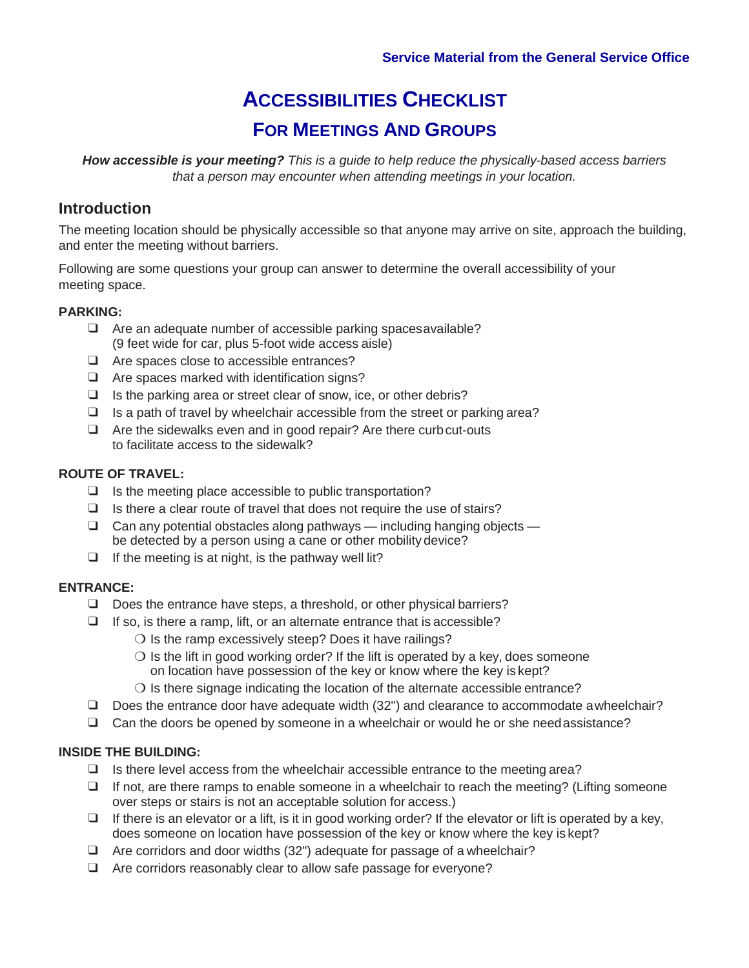# **ACCESSIBILITIES CHECKLIST**

# **FOR MEETINGS AND GROUPS**

*How accessible is your meeting? This is a guide to help reduce the physically-based access barriers that a person may encounter when attending meetings in your location.*

# **Introduction**

The meeting location should be physically accessible so that anyone may arrive on site, approach the building, and enter the meeting without barriers.

Following are some questions your group can answer to determine the overall accessibility of your meeting space.

# **PARKING:**

- ❑ Are an adequate number of accessible parking spacesavailable? (9 feet wide for car, plus 5-foot wide access aisle)
- ❑ Are spaces close to accessible entrances?
- ❑ Are spaces marked with identification signs?
- ❑ Is the parking area or street clear of snow, ice, or other debris?
- $\Box$  Is a path of travel by wheelchair accessible from the street or parking area?
- ❑ Are the sidewalks even and in good repair? Are there curbcut-outs to facilitate access to the sidewalk?

# **ROUTE OF TRAVEL:**

- ❑ Is the meeting place accessible to public transportation?
- ❑ Is there a clear route of travel that does not require the use of stairs?
- $\Box$  Can any potential obstacles along pathways including hanging objects be detected by a person using a cane or other mobility device?
- $\Box$  If the meeting is at night, is the pathway well lit?

### **ENTRANCE:**

- ❑ Does the entrance have steps, a threshold, or other physical barriers?
- $\Box$  If so, is there a ramp, lift, or an alternate entrance that is accessible?
	- $\bigcirc$  Is the ramp excessively steep? Does it have railings?
	- $\bigcirc$  Is the lift in good working order? If the lift is operated by a key, does someone on location have possession of the key or know where the key is kept?
	- ❍ Is there signage indicating the location of the alternate accessible entrance?
- ❑ Does the entrance door have adequate width (32") and clearance to accommodate awheelchair?
- ❑ Can the doors be opened by someone in a wheelchair or would he or she needassistance?

### **INSIDE THE BUILDING:**

- ❑ Is there level access from the wheelchair accessible entrance to the meeting area?
- ❑ If not, are there ramps to enable someone in a wheelchair to reach the meeting? (Lifting someone over steps or stairs is not an acceptable solution for access.)
- $\Box$  If there is an elevator or a lift, is it in good working order? If the elevator or lift is operated by a key, does someone on location have possession of the key or know where the key is kept?
- ❑ Are corridors and door widths (32") adequate for passage of a wheelchair?
- ❑ Are corridors reasonably clear to allow safe passage for everyone?